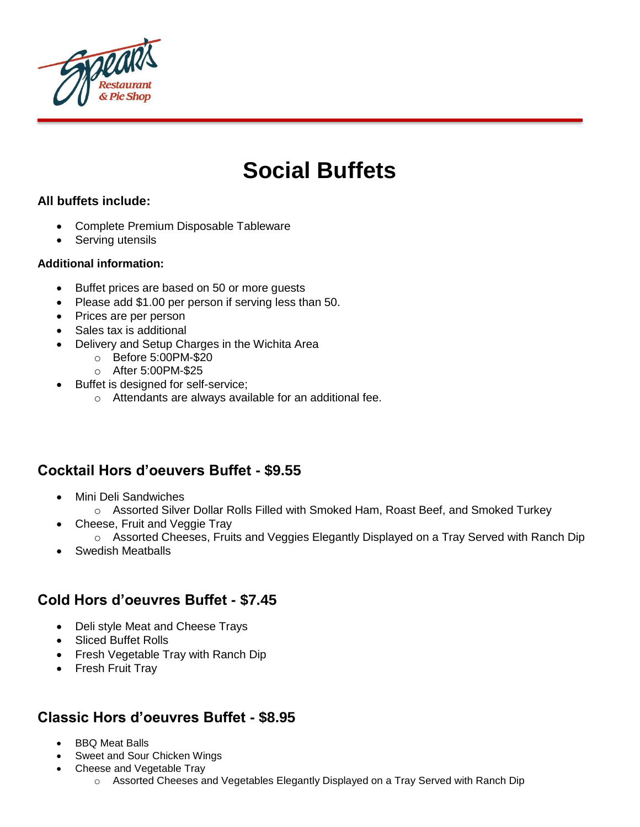

# **Social Buffets**

### **All buffets include:**

- Complete Premium Disposable Tableware
- Serving utensils

#### **Additional information:**

- Buffet prices are based on 50 or more quests
- Please add \$1.00 per person if serving less than 50.
- Prices are per person
- Sales tax is additional
- Delivery and Setup Charges in the Wichita Area
	- o Before 5:00PM-\$20
	- o After 5:00PM-\$25
- Buffet is designed for self-service;
	- o Attendants are always available for an additional fee.

# **Cocktail Hors d'oeuvers Buffet - \$9.55**

- Mini Deli Sandwiches
	- o Assorted Silver Dollar Rolls Filled with Smoked Ham, Roast Beef, and Smoked Turkey
- Cheese, Fruit and Veggie Tray
	- $\circ$  Assorted Cheeses, Fruits and Veggies Elegantly Displayed on a Tray Served with Ranch Dip
- Swedish Meatballs

## **Cold Hors d'oeuvres Buffet - \$7.45**

- Deli style Meat and Cheese Trays
- Sliced Buffet Rolls
- Fresh Vegetable Tray with Ranch Dip
- Fresh Fruit Tray

# **Classic Hors d'oeuvres Buffet - \$8.95**

- BBQ Meat Balls
- Sweet and Sour Chicken Wings
- Cheese and Vegetable Tray
	- o Assorted Cheeses and Vegetables Elegantly Displayed on a Tray Served with Ranch Dip